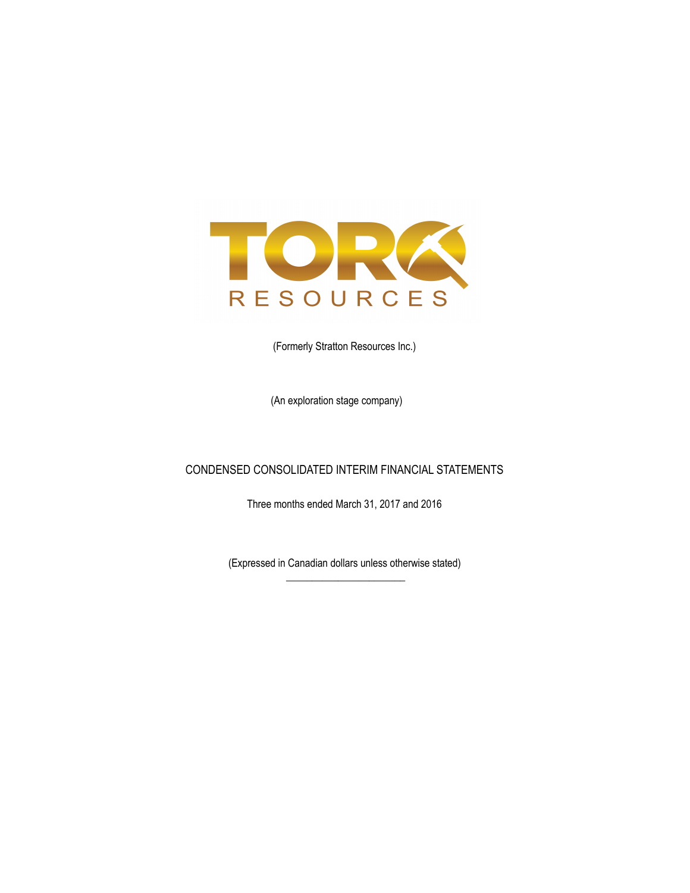

(Formerly Stratton Resources Inc.)

(An exploration stage company)

## CONDENSED CONSOLIDATED INTERIM FINANCIAL STATEMENTS

Three months ended March 31, 2017 and 2016

(Expressed in Canadian dollars unless otherwise stated)  $\overline{\phantom{a}}$  , where the contract of the contract of the contract of the contract of the contract of the contract of the contract of the contract of the contract of the contract of the contract of the contract of the contr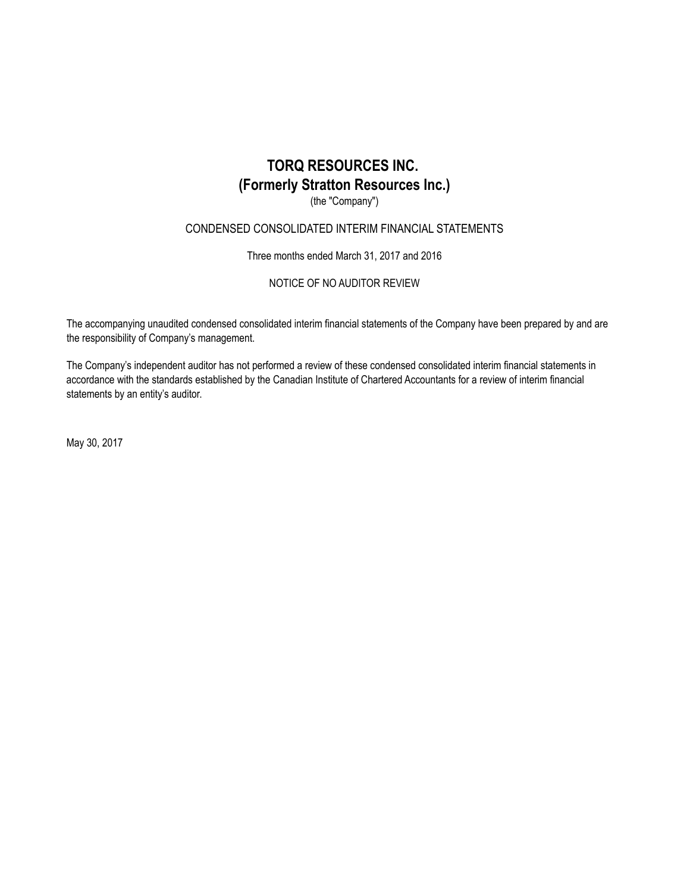(the "Company")

### CONDENSED CONSOLIDATED INTERIM FINANCIAL STATEMENTS

Three months ended March 31, 2017 and 2016

NOTICE OF NO AUDITOR REVIEW

The accompanying unaudited condensed consolidated interim financial statements of the Company have been prepared by and are the responsibility of Company's management.

The Company's independent auditor has not performed a review of these condensed consolidated interim financial statements in accordance with the standards established by the Canadian Institute of Chartered Accountants for a review of interim financial statements by an entity's auditor.

May 30, 2017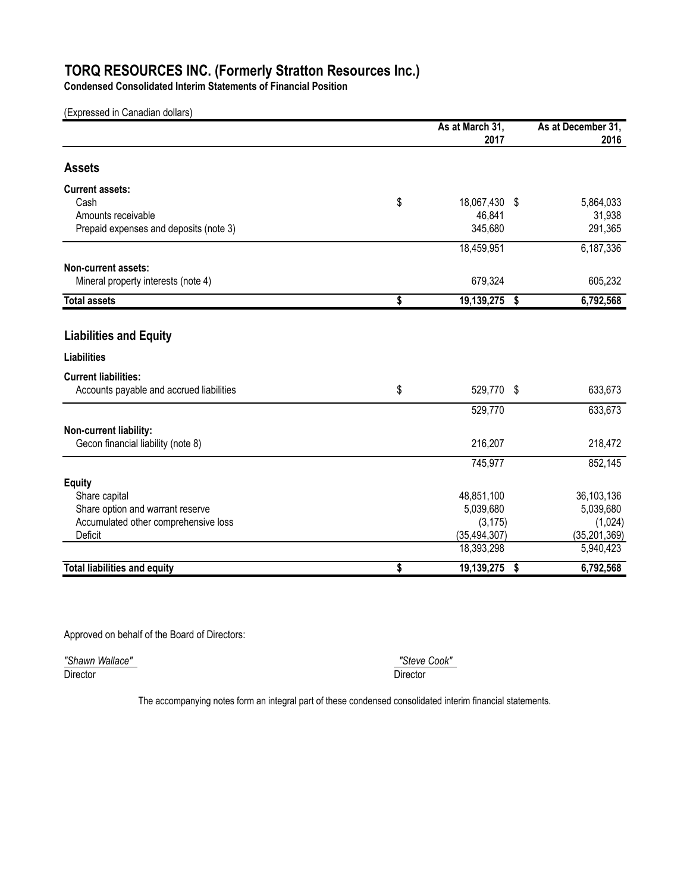**Condensed Consolidated Interim Statements of Financial Position**

(Expressed in Canadian dollars)

|                                          | As at March 31,     | As at December 31, |
|------------------------------------------|---------------------|--------------------|
|                                          | 2017                | 2016               |
| <b>Assets</b>                            |                     |                    |
| <b>Current assets:</b>                   |                     |                    |
| Cash                                     | \$<br>18,067,430 \$ | 5,864,033          |
| Amounts receivable                       | 46,841              | 31,938             |
| Prepaid expenses and deposits (note 3)   | 345,680             | 291,365            |
|                                          | 18,459,951          | 6,187,336          |
| Non-current assets:                      |                     |                    |
| Mineral property interests (note 4)      | 679,324             | 605,232            |
| <b>Total assets</b>                      | \$<br>19,139,275 \$ | 6,792,568          |
|                                          |                     |                    |
| <b>Liabilities and Equity</b>            |                     |                    |
| <b>Liabilities</b>                       |                     |                    |
| <b>Current liabilities:</b>              |                     |                    |
| Accounts payable and accrued liabilities | \$<br>529,770 \$    | 633,673            |
|                                          | 529,770             | 633,673            |
| Non-current liability:                   |                     |                    |
| Gecon financial liability (note 8)       | 216,207             | 218,472            |
|                                          | 745,977             | 852,145            |
| <b>Equity</b>                            |                     |                    |
| Share capital                            | 48,851,100          | 36,103,136         |
| Share option and warrant reserve         | 5,039,680           | 5,039,680          |
| Accumulated other comprehensive loss     | (3, 175)            | (1,024)            |
| Deficit                                  | (35, 494, 307)      | (35, 201, 369)     |
|                                          | 18,393,298          | 5,940,423          |
| <b>Total liabilities and equity</b>      | \$<br>19,139,275    | \$<br>6,792,568    |

Approved on behalf of the Board of Directors:

*"Shawn Wallace" "Steve Cook"*  Director Director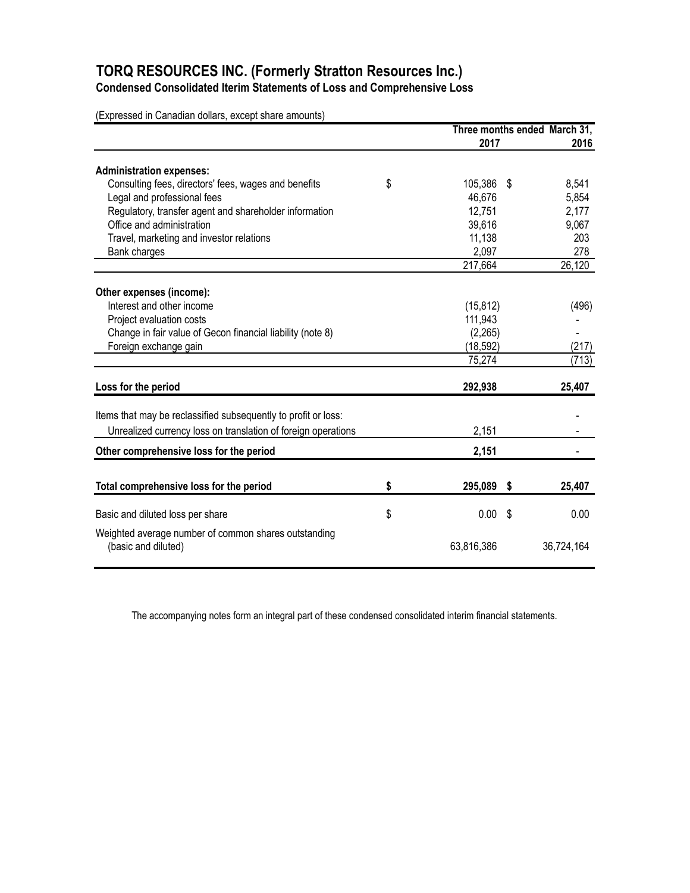**Condensed Consolidated Iterim Statements of Loss and Comprehensive Loss**

(Expressed in Canadian dollars, except share amounts)

|                                                                             | Three months ended March 31, |    |            |
|-----------------------------------------------------------------------------|------------------------------|----|------------|
|                                                                             | 2017                         |    | 2016       |
| <b>Administration expenses:</b>                                             |                              |    |            |
| Consulting fees, directors' fees, wages and benefits                        | \$<br>105,386                | \$ | 8,541      |
| Legal and professional fees                                                 | 46,676                       |    | 5,854      |
| Regulatory, transfer agent and shareholder information                      | 12,751                       |    | 2,177      |
| Office and administration                                                   | 39,616                       |    | 9,067      |
| Travel, marketing and investor relations                                    | 11,138                       |    | 203        |
| Bank charges                                                                | 2,097                        |    | 278        |
|                                                                             | 217,664                      |    | 26,120     |
|                                                                             |                              |    |            |
| Other expenses (income):<br>Interest and other income                       | (15, 812)                    |    | (496)      |
| Project evaluation costs                                                    | 111,943                      |    |            |
| Change in fair value of Gecon financial liability (note 8)                  | (2,265)                      |    |            |
| Foreign exchange gain                                                       | (18, 592)                    |    | (217)      |
|                                                                             | 75,274                       |    | (713)      |
|                                                                             |                              |    |            |
| Loss for the period                                                         | 292,938                      |    | 25,407     |
| Items that may be reclassified subsequently to profit or loss:              |                              |    |            |
| Unrealized currency loss on translation of foreign operations               | 2,151                        |    |            |
| Other comprehensive loss for the period                                     | 2,151                        |    |            |
|                                                                             |                              |    |            |
| Total comprehensive loss for the period                                     | \$<br>295,089 \$             |    | 25,407     |
| Basic and diluted loss per share                                            | \$<br>0.00                   | \$ | 0.00       |
|                                                                             |                              |    |            |
| Weighted average number of common shares outstanding<br>(basic and diluted) | 63,816,386                   |    | 36,724,164 |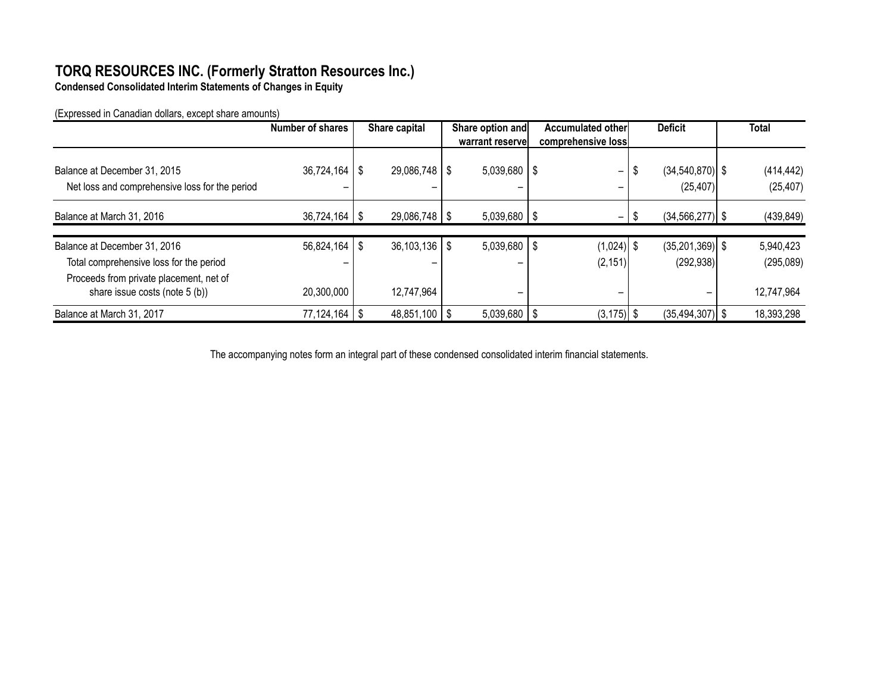**Condensed Consolidated Interim Statements of Changes in Equity**

(Expressed in Canadian dollars, except share amounts)

|                                                                                | Number of shares  | Share capital       | Share option and | <b>Accumulated other</b>      | <b>Deficit</b>                        | <b>Total</b>            |
|--------------------------------------------------------------------------------|-------------------|---------------------|------------------|-------------------------------|---------------------------------------|-------------------------|
|                                                                                |                   |                     | warrant reservel | comprehensive loss            |                                       |                         |
| Balance at December 31, 2015<br>Net loss and comprehensive loss for the period | $36,724,164$   \$ | $29,086,748$   \$   | $5,039,680$   \$ | $\overline{\phantom{0}}$<br>- | $(34, 540, 870)$ \$<br>S<br>(25, 407) | (414, 442)<br>(25, 407) |
| Balance at March 31, 2016                                                      | $36,724,164$   \$ | $29,086,748$ \ \ \$ | $5,039,680$   \$ | $\overline{\phantom{0}}$      | $(34, 566, 277)$ \$                   | (439, 849)              |
| Balance at December 31, 2016                                                   | $56,824,164$ \ \$ | $36,103,136$   \$   | $5,039,680$   \$ | $(1,024)$ \$                  | $(35,201,369)$ \$                     | 5,940,423               |
| Total comprehensive loss for the period                                        |                   |                     | -                | (2, 151)                      | (292, 938)                            | (295,089)               |
| Proceeds from private placement, net of<br>share issue costs (note 5 (b))      | 20,300,000        | 12,747,964          | -                | -                             |                                       | 12,747,964              |
| Balance at March 31, 2017                                                      | $77,124,164$   \$ | $48,851,100$ \ \$   | $5,039,680$   \$ | $(3, 175)$ \$                 | $(35, 494, 307)$ \$                   | 18,393,298              |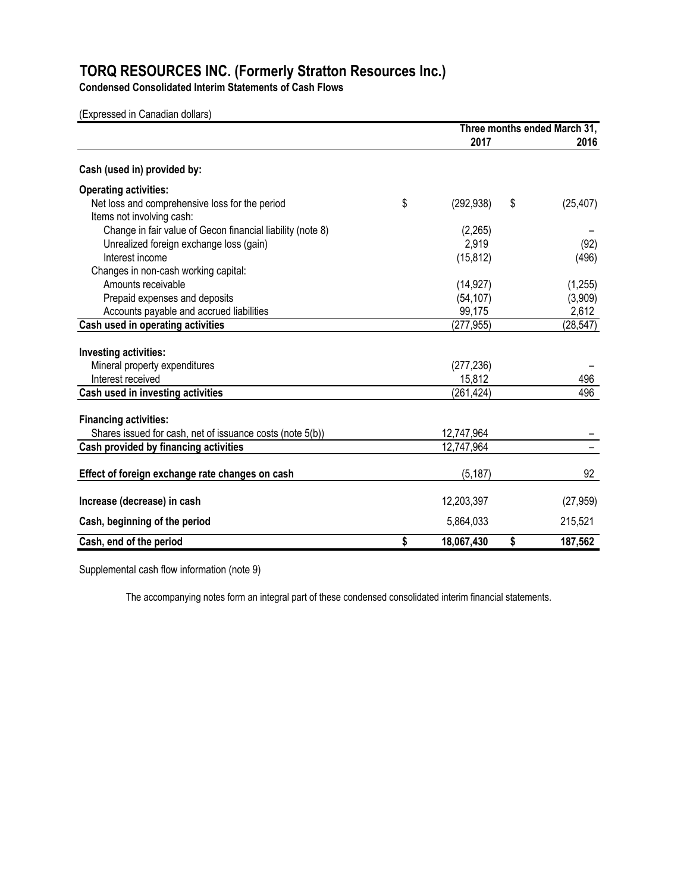**Condensed Consolidated Interim Statements of Cash Flows**

(Expressed in Canadian dollars)

|                                                            | Three months ended March 31, |    |           |
|------------------------------------------------------------|------------------------------|----|-----------|
|                                                            | 2017                         |    | 2016      |
| Cash (used in) provided by:                                |                              |    |           |
| <b>Operating activities:</b>                               |                              |    |           |
| Net loss and comprehensive loss for the period             | \$<br>(292, 938)             | \$ | (25, 407) |
| Items not involving cash:                                  |                              |    |           |
| Change in fair value of Gecon financial liability (note 8) | (2,265)                      |    |           |
| Unrealized foreign exchange loss (gain)                    | 2,919                        |    | (92)      |
| Interest income                                            | (15, 812)                    |    | (496)     |
| Changes in non-cash working capital:                       |                              |    |           |
| Amounts receivable                                         | (14, 927)                    |    | (1, 255)  |
| Prepaid expenses and deposits                              | (54, 107)                    |    | (3,909)   |
| Accounts payable and accrued liabilities                   | 99,175                       |    | 2,612     |
| Cash used in operating activities                          | (277, 955)                   |    | (28, 547) |
| Investing activities:                                      |                              |    |           |
| Mineral property expenditures                              | (277, 236)                   |    |           |
| Interest received                                          | 15,812                       |    | 496       |
| Cash used in investing activities                          | (261,424)                    |    | 496       |
|                                                            |                              |    |           |
| <b>Financing activities:</b>                               |                              |    |           |
| Shares issued for cash, net of issuance costs (note 5(b))  | 12,747,964                   |    |           |
| Cash provided by financing activities                      | 12,747,964                   |    |           |
| Effect of foreign exchange rate changes on cash            | (5, 187)                     |    | 92        |
|                                                            |                              |    |           |
| Increase (decrease) in cash                                | 12,203,397                   |    | (27, 959) |
| Cash, beginning of the period                              | 5,864,033                    |    | 215,521   |
| Cash, end of the period                                    | \$<br>18,067,430             | \$ | 187,562   |

Supplemental cash flow information (note 9)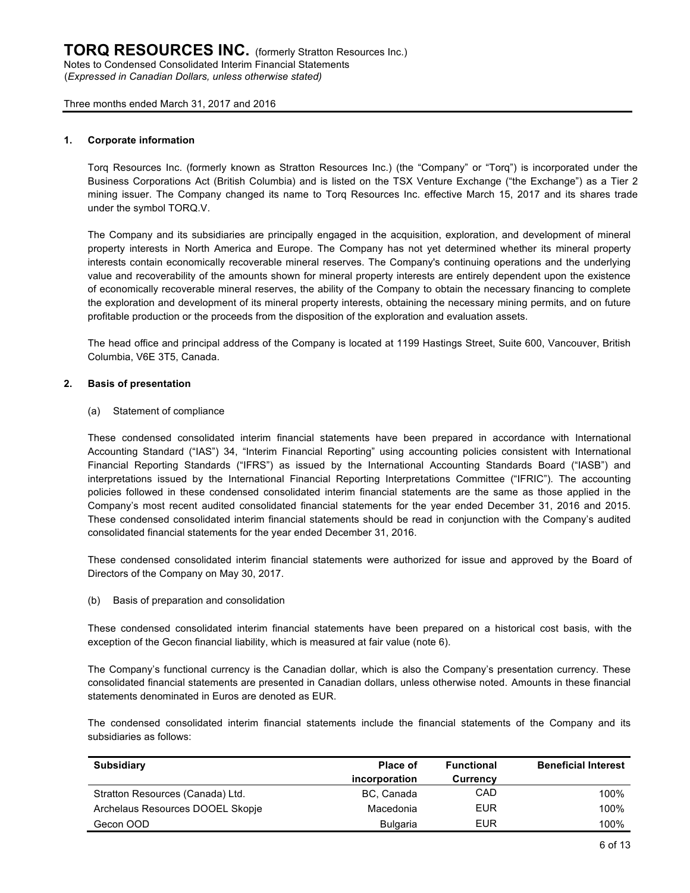#### **1. Corporate information**

Torq Resources Inc. (formerly known as Stratton Resources Inc.) (the "Company" or "Torq") is incorporated under the Business Corporations Act (British Columbia) and is listed on the TSX Venture Exchange ("the Exchange") as a Tier 2 mining issuer. The Company changed its name to Torq Resources Inc. effective March 15, 2017 and its shares trade under the symbol TORQ.V.

The Company and its subsidiaries are principally engaged in the acquisition, exploration, and development of mineral property interests in North America and Europe. The Company has not yet determined whether its mineral property interests contain economically recoverable mineral reserves. The Company's continuing operations and the underlying value and recoverability of the amounts shown for mineral property interests are entirely dependent upon the existence of economically recoverable mineral reserves, the ability of the Company to obtain the necessary financing to complete the exploration and development of its mineral property interests, obtaining the necessary mining permits, and on future profitable production or the proceeds from the disposition of the exploration and evaluation assets.

The head office and principal address of the Company is located at 1199 Hastings Street, Suite 600, Vancouver, British Columbia, V6E 3T5, Canada.

#### **2. Basis of presentation**

(a) Statement of compliance

These condensed consolidated interim financial statements have been prepared in accordance with International Accounting Standard ("IAS") 34, "Interim Financial Reporting" using accounting policies consistent with International Financial Reporting Standards ("IFRS") as issued by the International Accounting Standards Board ("IASB") and interpretations issued by the International Financial Reporting Interpretations Committee ("IFRIC"). The accounting policies followed in these condensed consolidated interim financial statements are the same as those applied in the Company's most recent audited consolidated financial statements for the year ended December 31, 2016 and 2015. These condensed consolidated interim financial statements should be read in conjunction with the Company's audited consolidated financial statements for the year ended December 31, 2016.

These condensed consolidated interim financial statements were authorized for issue and approved by the Board of Directors of the Company on May 30, 2017.

(b) Basis of preparation and consolidation

These condensed consolidated interim financial statements have been prepared on a historical cost basis, with the exception of the Gecon financial liability, which is measured at fair value (note 6).

The Company's functional currency is the Canadian dollar, which is also the Company's presentation currency. These consolidated financial statements are presented in Canadian dollars, unless otherwise noted. Amounts in these financial statements denominated in Euros are denoted as EUR.

The condensed consolidated interim financial statements include the financial statements of the Company and its subsidiaries as follows:

| <b>Subsidiary</b>                | Place of<br>incorporation | <b>Functional</b><br><b>Currency</b> | <b>Beneficial Interest</b> |
|----------------------------------|---------------------------|--------------------------------------|----------------------------|
| Stratton Resources (Canada) Ltd. | BC, Canada                | CAD                                  | 100%                       |
| Archelaus Resources DOOEL Skopje | Macedonia                 | EUR                                  | 100%                       |
| Gecon OOD                        | <b>Bulgaria</b>           | EUR                                  | 100%                       |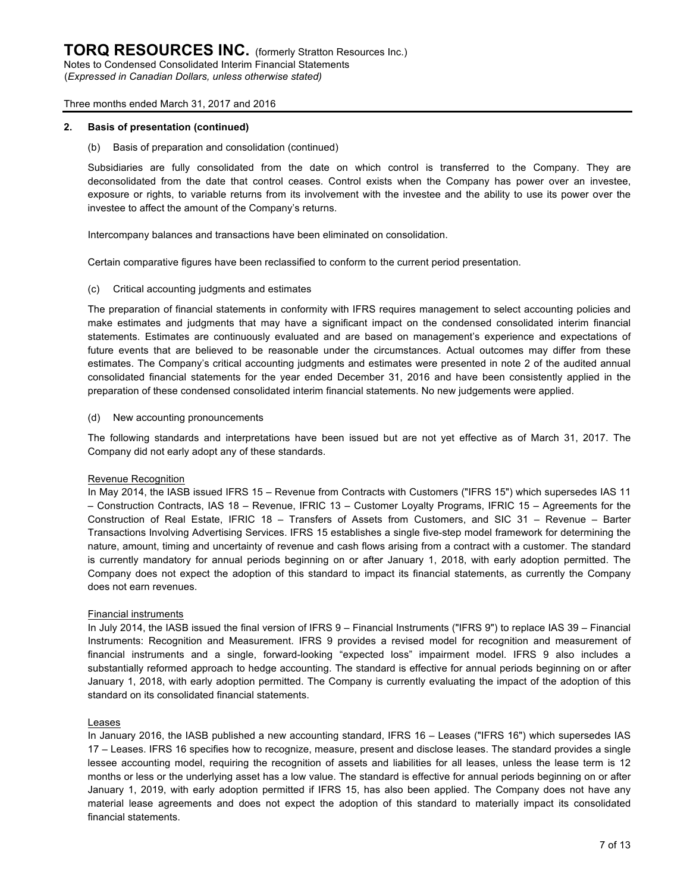(*Expressed in Canadian Dollars, unless otherwise stated)*

#### Three months ended March 31, 2017 and 2016

#### **2. Basis of presentation (continued)**

(b) Basis of preparation and consolidation (continued)

Subsidiaries are fully consolidated from the date on which control is transferred to the Company. They are deconsolidated from the date that control ceases. Control exists when the Company has power over an investee, exposure or rights, to variable returns from its involvement with the investee and the ability to use its power over the investee to affect the amount of the Company's returns.

Intercompany balances and transactions have been eliminated on consolidation.

Certain comparative figures have been reclassified to conform to the current period presentation.

(c) Critical accounting judgments and estimates

The preparation of financial statements in conformity with IFRS requires management to select accounting policies and make estimates and judgments that may have a significant impact on the condensed consolidated interim financial statements. Estimates are continuously evaluated and are based on management's experience and expectations of future events that are believed to be reasonable under the circumstances. Actual outcomes may differ from these estimates. The Company's critical accounting judgments and estimates were presented in note 2 of the audited annual consolidated financial statements for the year ended December 31, 2016 and have been consistently applied in the preparation of these condensed consolidated interim financial statements. No new judgements were applied.

(d) New accounting pronouncements

The following standards and interpretations have been issued but are not yet effective as of March 31, 2017. The Company did not early adopt any of these standards.

#### Revenue Recognition

In May 2014, the IASB issued IFRS 15 – Revenue from Contracts with Customers ("IFRS 15") which supersedes IAS 11 – Construction Contracts, IAS 18 – Revenue, IFRIC 13 – Customer Loyalty Programs, IFRIC 15 – Agreements for the Construction of Real Estate, IFRIC 18 – Transfers of Assets from Customers, and SIC 31 – Revenue – Barter Transactions Involving Advertising Services. IFRS 15 establishes a single five-step model framework for determining the nature, amount, timing and uncertainty of revenue and cash flows arising from a contract with a customer. The standard is currently mandatory for annual periods beginning on or after January 1, 2018, with early adoption permitted. The Company does not expect the adoption of this standard to impact its financial statements, as currently the Company does not earn revenues.

#### Financial instruments

In July 2014, the IASB issued the final version of IFRS 9 – Financial Instruments ("IFRS 9") to replace IAS 39 – Financial Instruments: Recognition and Measurement. IFRS 9 provides a revised model for recognition and measurement of financial instruments and a single, forward-looking "expected loss" impairment model. IFRS 9 also includes a substantially reformed approach to hedge accounting. The standard is effective for annual periods beginning on or after January 1, 2018, with early adoption permitted. The Company is currently evaluating the impact of the adoption of this standard on its consolidated financial statements.

#### Leases

In January 2016, the IASB published a new accounting standard, IFRS 16 – Leases ("IFRS 16") which supersedes IAS 17 – Leases. IFRS 16 specifies how to recognize, measure, present and disclose leases. The standard provides a single lessee accounting model, requiring the recognition of assets and liabilities for all leases, unless the lease term is 12 months or less or the underlying asset has a low value. The standard is effective for annual periods beginning on or after January 1, 2019, with early adoption permitted if IFRS 15, has also been applied. The Company does not have any material lease agreements and does not expect the adoption of this standard to materially impact its consolidated financial statements.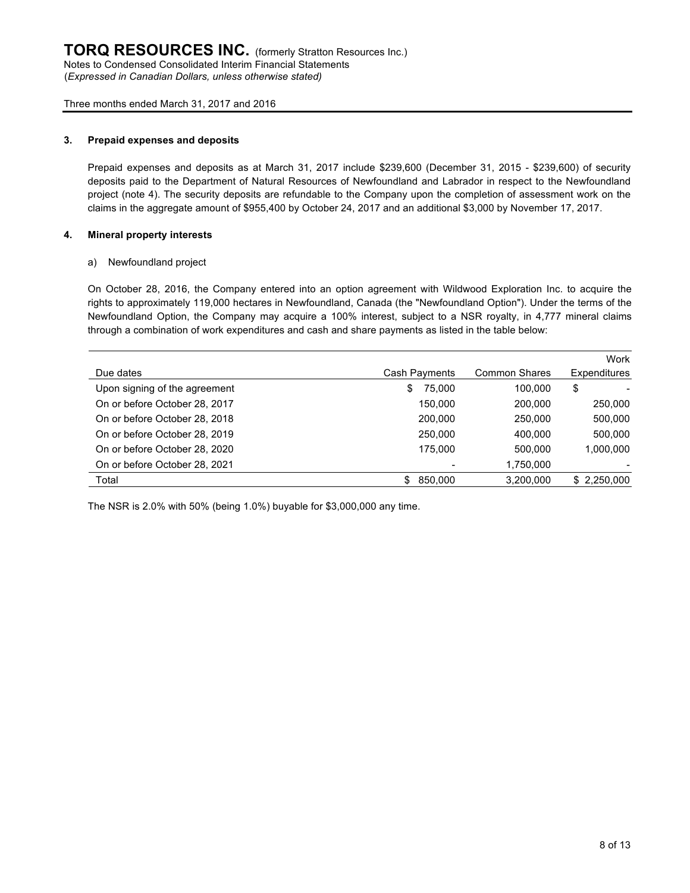(*Expressed in Canadian Dollars, unless otherwise stated)*

Three months ended March 31, 2017 and 2016

#### **3. Prepaid expenses and deposits**

Prepaid expenses and deposits as at March 31, 2017 include \$239,600 (December 31, 2015 - \$239,600) of security deposits paid to the Department of Natural Resources of Newfoundland and Labrador in respect to the Newfoundland project (note 4). The security deposits are refundable to the Company upon the completion of assessment work on the claims in the aggregate amount of \$955,400 by October 24, 2017 and an additional \$3,000 by November 17, 2017.

#### **4. Mineral property interests**

#### a) Newfoundland project

On October 28, 2016, the Company entered into an option agreement with Wildwood Exploration Inc. to acquire the rights to approximately 119,000 hectares in Newfoundland, Canada (the "Newfoundland Option"). Under the terms of the Newfoundland Option, the Company may acquire a 100% interest, subject to a NSR royalty, in 4,777 mineral claims through a combination of work expenditures and cash and share payments as listed in the table below:

|                               |               |                      | Work         |
|-------------------------------|---------------|----------------------|--------------|
| Due dates                     | Cash Payments | <b>Common Shares</b> | Expenditures |
| Upon signing of the agreement | 75.000<br>\$  | 100.000              | \$           |
| On or before October 28, 2017 | 150.000       | 200,000              | 250,000      |
| On or before October 28, 2018 | 200,000       | 250,000              | 500,000      |
| On or before October 28, 2019 | 250.000       | 400.000              | 500,000      |
| On or before October 28, 2020 | 175.000       | 500.000              | 1,000,000    |
| On or before October 28, 2021 |               | 1,750,000            |              |
| Total                         | 850,000<br>£. | 3,200,000            | \$2,250,000  |

The NSR is 2.0% with 50% (being 1.0%) buyable for \$3,000,000 any time.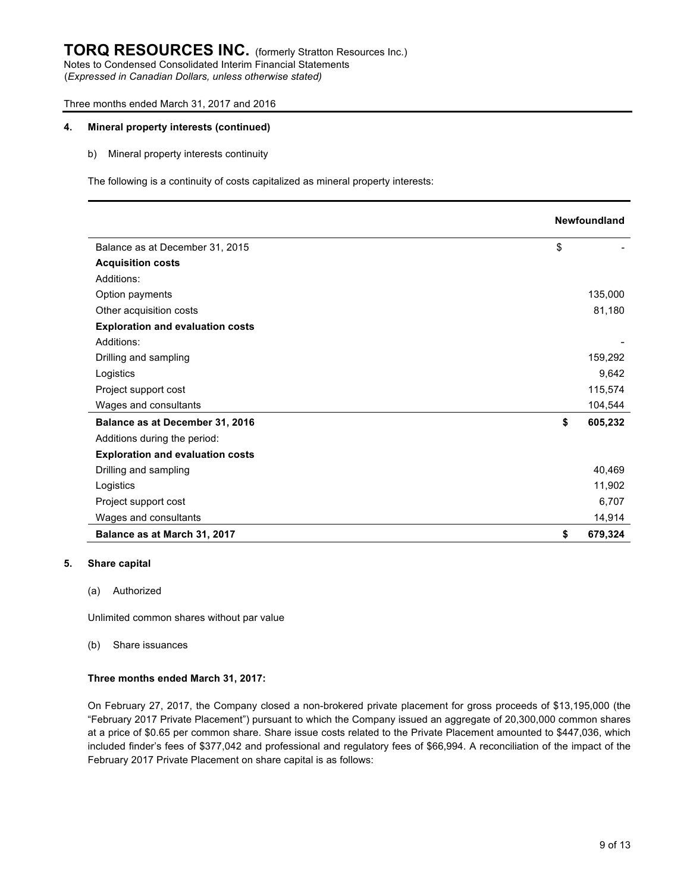## **TORQ RESOURCES INC.** (formerly Stratton Resources Inc.) Notes to Condensed Consolidated Interim Financial Statements

(*Expressed in Canadian Dollars, unless otherwise stated)*

#### Three months ended March 31, 2017 and 2016

#### **4. Mineral property interests (continued)**

b) Mineral property interests continuity

The following is a continuity of costs capitalized as mineral property interests:

|                                         | <b>Newfoundland</b> |
|-----------------------------------------|---------------------|
| Balance as at December 31, 2015         | \$                  |
| <b>Acquisition costs</b>                |                     |
| Additions:                              |                     |
| Option payments                         | 135,000             |
| Other acquisition costs                 | 81,180              |
| <b>Exploration and evaluation costs</b> |                     |
| Additions:                              |                     |
| Drilling and sampling                   | 159,292             |
| Logistics                               | 9,642               |
| Project support cost                    | 115,574             |
| Wages and consultants                   | 104,544             |
| Balance as at December 31, 2016         | \$<br>605,232       |
| Additions during the period:            |                     |
| <b>Exploration and evaluation costs</b> |                     |
| Drilling and sampling                   | 40,469              |
| Logistics                               | 11,902              |
| Project support cost                    | 6,707               |
| Wages and consultants                   | 14,914              |
| Balance as at March 31, 2017            | \$<br>679,324       |

#### **5. Share capital**

(a) Authorized

Unlimited common shares without par value

(b) Share issuances

#### **Three months ended March 31, 2017:**

On February 27, 2017, the Company closed a non-brokered private placement for gross proceeds of \$13,195,000 (the "February 2017 Private Placement") pursuant to which the Company issued an aggregate of 20,300,000 common shares at a price of \$0.65 per common share. Share issue costs related to the Private Placement amounted to \$447,036, which included finder's fees of \$377,042 and professional and regulatory fees of \$66,994. A reconciliation of the impact of the February 2017 Private Placement on share capital is as follows: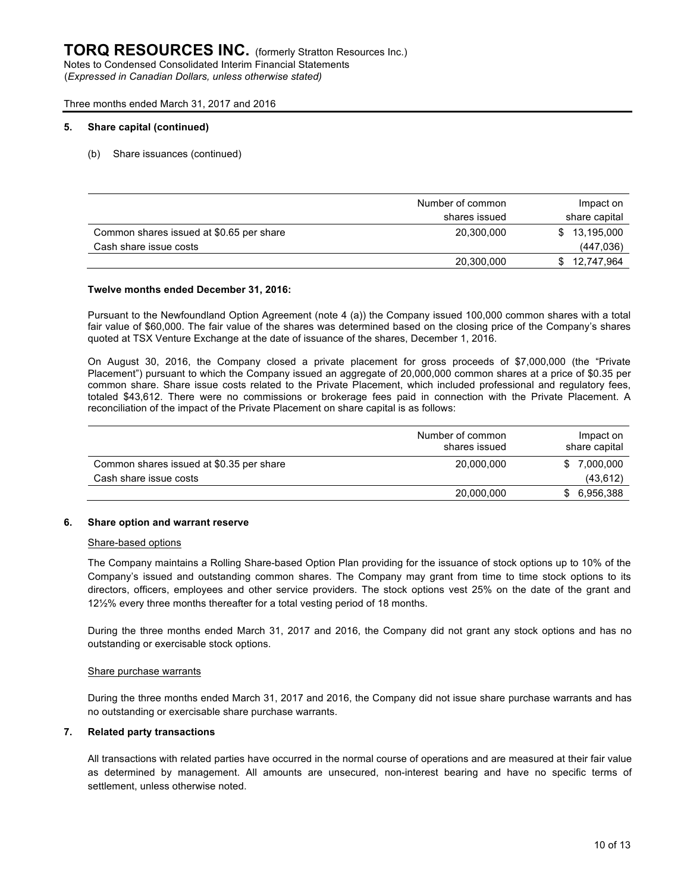#### **5. Share capital (continued)**

(b) Share issuances (continued)

|                                          | Number of common | Impact on     |
|------------------------------------------|------------------|---------------|
|                                          | shares issued    | share capital |
| Common shares issued at \$0.65 per share | 20,300,000       | \$ 13,195,000 |
| Cash share issue costs                   |                  | (447, 036)    |
|                                          | 20,300,000       | 12,747,964    |

#### **Twelve months ended December 31, 2016:**

Pursuant to the Newfoundland Option Agreement (note 4 (a)) the Company issued 100,000 common shares with a total fair value of \$60,000. The fair value of the shares was determined based on the closing price of the Company's shares quoted at TSX Venture Exchange at the date of issuance of the shares, December 1, 2016.

On August 30, 2016, the Company closed a private placement for gross proceeds of \$7,000,000 (the "Private Placement") pursuant to which the Company issued an aggregate of 20,000,000 common shares at a price of \$0.35 per common share. Share issue costs related to the Private Placement, which included professional and regulatory fees, totaled \$43,612. There were no commissions or brokerage fees paid in connection with the Private Placement. A reconciliation of the impact of the Private Placement on share capital is as follows:

|                                          | Number of common<br>shares issued | Impact on<br>share capital |
|------------------------------------------|-----------------------------------|----------------------------|
| Common shares issued at \$0.35 per share | 20.000.000                        | 7,000,000<br>S.            |
| Cash share issue costs                   |                                   | (43, 612)                  |
|                                          | 20,000,000                        | 6,956,388                  |

#### **6. Share option and warrant reserve**

#### Share-based options

The Company maintains a Rolling Share-based Option Plan providing for the issuance of stock options up to 10% of the Company's issued and outstanding common shares. The Company may grant from time to time stock options to its directors, officers, employees and other service providers. The stock options vest 25% on the date of the grant and 12½% every three months thereafter for a total vesting period of 18 months.

During the three months ended March 31, 2017 and 2016, the Company did not grant any stock options and has no outstanding or exercisable stock options.

#### Share purchase warrants

During the three months ended March 31, 2017 and 2016, the Company did not issue share purchase warrants and has no outstanding or exercisable share purchase warrants.

#### **7. Related party transactions**

All transactions with related parties have occurred in the normal course of operations and are measured at their fair value as determined by management. All amounts are unsecured, non-interest bearing and have no specific terms of settlement, unless otherwise noted.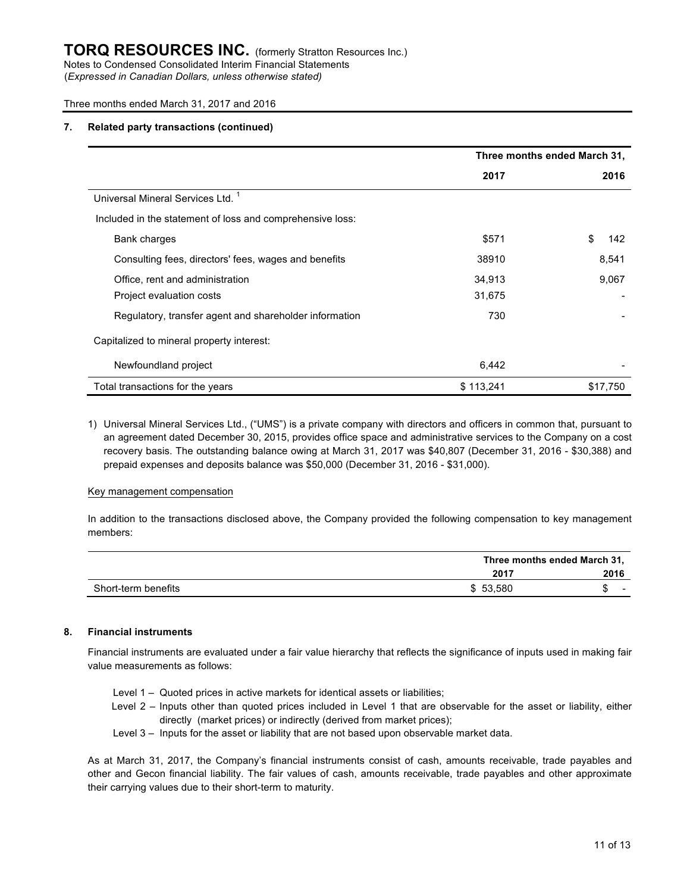(*Expressed in Canadian Dollars, unless otherwise stated)*

#### Three months ended March 31, 2017 and 2016

#### **7. Related party transactions (continued)**

|                                                           | Three months ended March 31, |           |  |
|-----------------------------------------------------------|------------------------------|-----------|--|
|                                                           | 2017                         | 2016      |  |
| Universal Mineral Services Ltd. <sup>1</sup>              |                              |           |  |
| Included in the statement of loss and comprehensive loss: |                              |           |  |
| Bank charges                                              | \$571                        | \$<br>142 |  |
| Consulting fees, directors' fees, wages and benefits      | 38910                        | 8,541     |  |
| Office, rent and administration                           | 34,913                       | 9,067     |  |
| Project evaluation costs                                  | 31,675                       |           |  |
| Regulatory, transfer agent and shareholder information    | 730                          |           |  |
| Capitalized to mineral property interest:                 |                              |           |  |
| Newfoundland project                                      | 6,442                        |           |  |
| Total transactions for the years                          | \$113,241                    | \$17,750  |  |

1) Universal Mineral Services Ltd., ("UMS") is a private company with directors and officers in common that, pursuant to an agreement dated December 30, 2015, provides office space and administrative services to the Company on a cost recovery basis. The outstanding balance owing at March 31, 2017 was \$40,807 (December 31, 2016 - \$30,388) and prepaid expenses and deposits balance was \$50,000 (December 31, 2016 - \$31,000).

#### Key management compensation

In addition to the transactions disclosed above, the Company provided the following compensation to key management members:

|                     |          | Three months ended March 31, |  |  |
|---------------------|----------|------------------------------|--|--|
|                     | 2017     | 2016                         |  |  |
| Short-term benefits | \$53.580 | -                            |  |  |

#### **8. Financial instruments**

Financial instruments are evaluated under a fair value hierarchy that reflects the significance of inputs used in making fair value measurements as follows:

- Level 1 Quoted prices in active markets for identical assets or liabilities;
- Level 2 Inputs other than quoted prices included in Level 1 that are observable for the asset or liability, either directly (market prices) or indirectly (derived from market prices);
- Level 3 Inputs for the asset or liability that are not based upon observable market data.

As at March 31, 2017, the Company's financial instruments consist of cash, amounts receivable, trade payables and other and Gecon financial liability. The fair values of cash, amounts receivable, trade payables and other approximate their carrying values due to their short-term to maturity.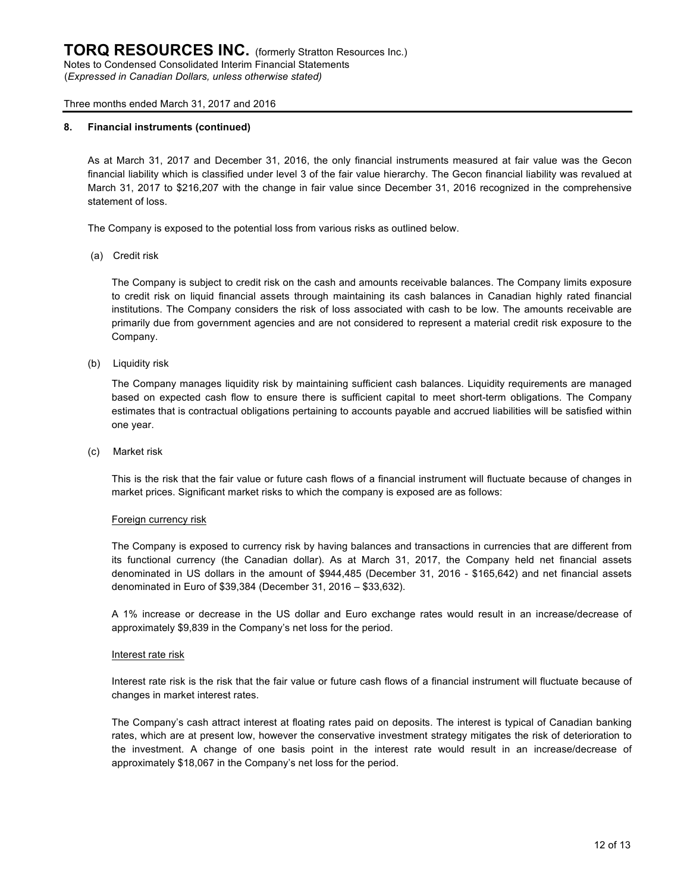### **8. Financial instruments (continued)**

As at March 31, 2017 and December 31, 2016, the only financial instruments measured at fair value was the Gecon financial liability which is classified under level 3 of the fair value hierarchy. The Gecon financial liability was revalued at March 31, 2017 to \$216,207 with the change in fair value since December 31, 2016 recognized in the comprehensive statement of loss.

The Company is exposed to the potential loss from various risks as outlined below.

(a) Credit risk

The Company is subject to credit risk on the cash and amounts receivable balances. The Company limits exposure to credit risk on liquid financial assets through maintaining its cash balances in Canadian highly rated financial institutions. The Company considers the risk of loss associated with cash to be low. The amounts receivable are primarily due from government agencies and are not considered to represent a material credit risk exposure to the Company.

(b) Liquidity risk

The Company manages liquidity risk by maintaining sufficient cash balances. Liquidity requirements are managed based on expected cash flow to ensure there is sufficient capital to meet short-term obligations. The Company estimates that is contractual obligations pertaining to accounts payable and accrued liabilities will be satisfied within one year.

(c) Market risk

This is the risk that the fair value or future cash flows of a financial instrument will fluctuate because of changes in market prices. Significant market risks to which the company is exposed are as follows:

#### Foreign currency risk

The Company is exposed to currency risk by having balances and transactions in currencies that are different from its functional currency (the Canadian dollar). As at March 31, 2017, the Company held net financial assets denominated in US dollars in the amount of \$944,485 (December 31, 2016 - \$165,642) and net financial assets denominated in Euro of \$39,384 (December 31, 2016 – \$33,632).

A 1% increase or decrease in the US dollar and Euro exchange rates would result in an increase/decrease of approximately \$9,839 in the Company's net loss for the period.

#### Interest rate risk

Interest rate risk is the risk that the fair value or future cash flows of a financial instrument will fluctuate because of changes in market interest rates.

The Company's cash attract interest at floating rates paid on deposits. The interest is typical of Canadian banking rates, which are at present low, however the conservative investment strategy mitigates the risk of deterioration to the investment. A change of one basis point in the interest rate would result in an increase/decrease of approximately \$18,067 in the Company's net loss for the period.